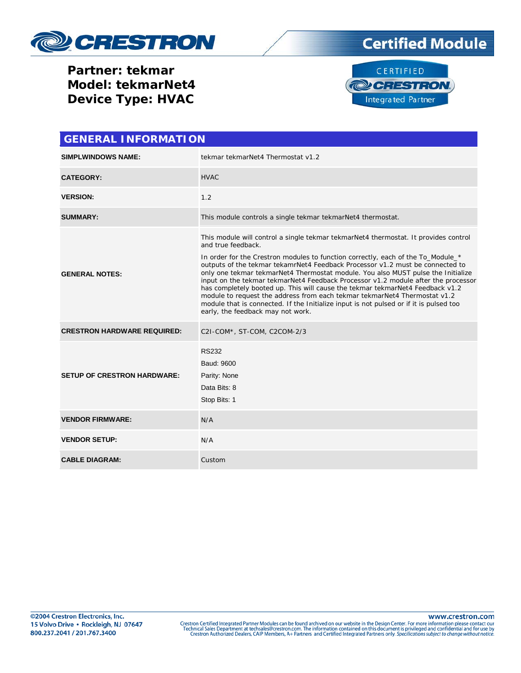

# **Certified Module**

**Partner: tekmar Model: tekmarNet4 Device Type: HVAC**



| <b>GENERAL INFORMATION</b>         |                                                                                                                                                                                                                                                                                                                                                                                                                                                                                                                                                                                                                                                                                                                                                      |
|------------------------------------|------------------------------------------------------------------------------------------------------------------------------------------------------------------------------------------------------------------------------------------------------------------------------------------------------------------------------------------------------------------------------------------------------------------------------------------------------------------------------------------------------------------------------------------------------------------------------------------------------------------------------------------------------------------------------------------------------------------------------------------------------|
| <b>SIMPLWINDOWS NAME:</b>          | tekmar tekmarNet4 Thermostat v1.2                                                                                                                                                                                                                                                                                                                                                                                                                                                                                                                                                                                                                                                                                                                    |
| <b>CATEGORY:</b>                   | <b>HVAC</b>                                                                                                                                                                                                                                                                                                                                                                                                                                                                                                                                                                                                                                                                                                                                          |
| <b>VERSION:</b>                    | 1.2                                                                                                                                                                                                                                                                                                                                                                                                                                                                                                                                                                                                                                                                                                                                                  |
| <b>SUMMARY:</b>                    | This module controls a single tekmar tekmarNet4 thermostat.                                                                                                                                                                                                                                                                                                                                                                                                                                                                                                                                                                                                                                                                                          |
| <b>GENERAL NOTES:</b>              | This module will control a single tekmar tekmarNet4 thermostat. It provides control<br>and true feedback.<br>In order for the Crestron modules to function correctly, each of the To_Module_*<br>outputs of the tekmar tekamrNet4 Feedback Processor v1.2 must be connected to<br>only one tekmar tekmarNet4 Thermostat module. You also MUST pulse the Initialize<br>input on the tekmar tekmarNet4 Feedback Processor v1.2 module after the processor<br>has completely booted up. This will cause the tekmar tekmarNet4 Feedback v1.2<br>module to request the address from each tekmar tekmarNet4 Thermostat v1.2<br>module that is connected. If the Initialize input is not pulsed or if it is pulsed too<br>early, the feedback may not work. |
| <b>CRESTRON HARDWARE REQUIRED:</b> | C2I-COM*, ST-COM, C2COM-2/3                                                                                                                                                                                                                                                                                                                                                                                                                                                                                                                                                                                                                                                                                                                          |
| <b>SETUP OF CRESTRON HARDWARE:</b> | <b>RS232</b><br>Baud: 9600<br>Parity: None<br>Data Bits: 8<br>Stop Bits: 1                                                                                                                                                                                                                                                                                                                                                                                                                                                                                                                                                                                                                                                                           |
| <b>VENDOR FIRMWARE:</b>            | N/A                                                                                                                                                                                                                                                                                                                                                                                                                                                                                                                                                                                                                                                                                                                                                  |
| <b>VENDOR SETUP:</b>               | N/A                                                                                                                                                                                                                                                                                                                                                                                                                                                                                                                                                                                                                                                                                                                                                  |
| <b>CABLE DIAGRAM:</b>              | Custom                                                                                                                                                                                                                                                                                                                                                                                                                                                                                                                                                                                                                                                                                                                                               |

www.crestron.com Crestron Certified Integrated Partner Modules can be found archived on our website in the Design Center. For more information please contact our<br>Technical Sales Department at techsales@crestron.com. The information contain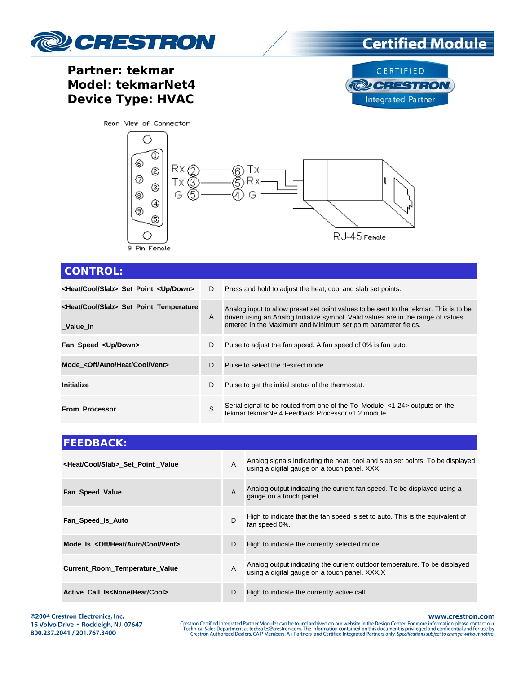

### Partner: tekmar Model: tekmarNet4 **Device Type: HVAC**





| <b>CONTROL:</b>                                                  |    |                                                                                                                                                                                                                                              |
|------------------------------------------------------------------|----|----------------------------------------------------------------------------------------------------------------------------------------------------------------------------------------------------------------------------------------------|
| <heat cool="" slab=""> Set Point <up down=""></up></heat>        | D  | Press and hold to adjust the heat, cool and slab set points.                                                                                                                                                                                 |
| <heat cool="" slab="">_Set_Point_Temperature<br/>Value In</heat> | A  | Analog input to allow preset set point values to be sent to the tekmar. This is to be<br>driven using an Analog Initialize symbol. Valid values are in the range of values<br>entered in the Maximum and Minimum set point parameter fields. |
| Fan Speed <up down=""></up>                                      | D  | Pulse to adjust the fan speed. A fan speed of 0% is fan auto.                                                                                                                                                                                |
| Mode < Off/Auto/Heat/Cool/Vent>                                  | D. | Pulse to select the desired mode.                                                                                                                                                                                                            |
| <b>Initialize</b>                                                | D  | Pulse to get the initial status of the thermostat.                                                                                                                                                                                           |
| <b>From Processor</b>                                            | S  | Serial signal to be routed from one of the To_Module_<1-24> outputs on the<br>tekmar tekmarNet4 Feedback Processor v1.2 module.                                                                                                              |

| <b>FEEDBACK:</b>                              |                |                                                                                                                              |
|-----------------------------------------------|----------------|------------------------------------------------------------------------------------------------------------------------------|
| <heat cool="" slab=""> Set Point Value</heat> | $\overline{A}$ | Analog signals indicating the heat, cool and slab set points. To be displayed<br>using a digital gauge on a touch panel. XXX |
| Fan Speed Value                               | $\overline{A}$ | Analog output indicating the current fan speed. To be displayed using a<br>gauge on a touch panel.                           |
| Fan Speed Is Auto                             | D              | High to indicate that the fan speed is set to auto. This is the equivalent of<br>fan speed 0%.                               |
| Mode Is < Off/Heat/Auto/Cool/Vent>            | D              | High to indicate the currently selected mode.                                                                                |
| <b>Current_Room_Temperature_Value</b>         | $\overline{A}$ | Analog output indicating the current outdoor temperature. To be displayed<br>using a digital gauge on a touch panel. XXX.X   |
| Active Call Is <none cool="" heat=""></none>  | D              | High to indicate the currently active call.                                                                                  |

©2004 Crestron Electronics, Inc. 15 Volvo Drive · Rockleigh, NJ 07647 800.237.2041 / 201.767.3400

www.crestron.com

Crestron Certified Integrated Partner Modules can be found archived on our website in the Design Center. For more information please contact our<br>Technical Sales Department at techsales@crestron.com. The information contain